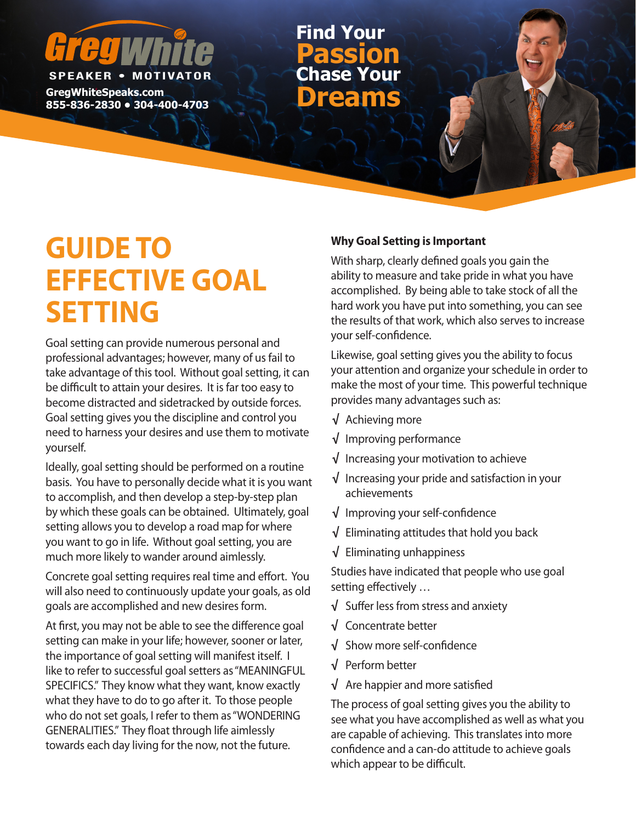# **SPEAKER • MOTIV**

**GregWhiteSpeaks.com Binders Community Concernsive Community Concernsive Community Concernsive Community Concernsive Community Community Community Community Community Community Community Community Community Community Community Community Commu** 

**Chase Your Passion Find Your**

## **GUIDE TO EFFECTIVE GOAL SETTING**

Goal setting can provide numerous personal and professional advantages; however, many of us fail to take advantage of this tool. Without goal setting, it can be difficult to attain your desires. It is far too easy to become distracted and sidetracked by outside forces. Goal setting gives you the discipline and control you need to harness your desires and use them to motivate yourself.

Ideally, goal setting should be performed on a routine basis. You have to personally decide what it is you want to accomplish, and then develop a step-by-step plan by which these goals can be obtained. Ultimately, goal setting allows you to develop a road map for where you want to go in life. Without goal setting, you are much more likely to wander around aimlessly.

Concrete goal setting requires real time and effort. You will also need to continuously update your goals, as old goals are accomplished and new desires form.

At first, you may not be able to see the difference goal setting can make in your life; however, sooner or later, the importance of goal setting will manifest itself. I like to refer to successful goal setters as "MEANINGFUL SPECIFICS." They know what they want, know exactly what they have to do to go after it. To those people who do not set goals, I refer to them as "WONDERING GENERALITIES." They float through life aimlessly towards each day living for the now, not the future.

#### **Why Goal Setting is Important**

With sharp, clearly defined goals you gain the ability to measure and take pride in what you have accomplished. By being able to take stock of all the hard work you have put into something, you can see the results of that work, which also serves to increase your self-confidence.

Likewise, goal setting gives you the ability to focus your attention and organize your schedule in order to make the most of your time. This powerful technique provides many advantages such as:

- **√** Achieving more
- **√** Improving performance
- **√** Increasing your motivation to achieve
- **√** Increasing your pride and satisfaction in your achievements
- **√** Improving your self-confidence
- **√** Eliminating attitudes that hold you back
- **√** Eliminating unhappiness

Studies have indicated that people who use goal setting effectively …

- **√** Suffer less from stress and anxiety
- **√** Concentrate better
- **√** Show more self-confidence
- **√** Perform better
- **√** Are happier and more satisfied

The process of goal setting gives you the ability to see what you have accomplished as well as what you are capable of achieving. This translates into more confidence and a can-do attitude to achieve goals which appear to be difficult.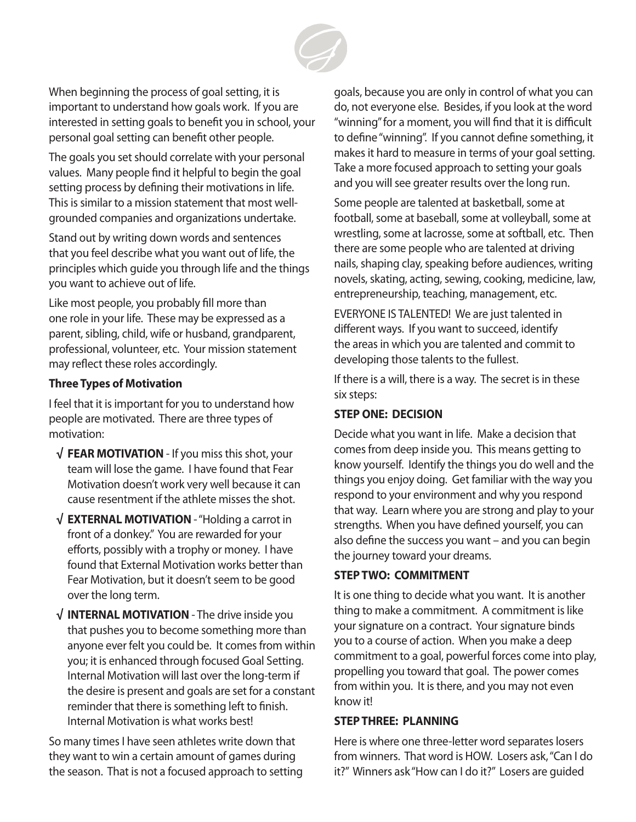

When beginning the process of goal setting, it is important to understand how goals work. If you are interested in setting goals to benefit you in school, your personal goal setting can benefit other people.

The goals you set should correlate with your personal values. Many people find it helpful to begin the goal setting process by defining their motivations in life. This is similar to a mission statement that most wellgrounded companies and organizations undertake.

Stand out by writing down words and sentences that you feel describe what you want out of life, the principles which guide you through life and the things you want to achieve out of life.

Like most people, you probably fill more than one role in your life. These may be expressed as a parent, sibling, child, wife or husband, grandparent, professional, volunteer, etc. Your mission statement may reflect these roles accordingly.

#### **Three Types of Motivation**

I feel that it is important for you to understand how people are motivated. There are three types of motivation:

- **√ FEAR MOTIVATION** If you miss this shot, your team will lose the game. I have found that Fear Motivation doesn't work very well because it can cause resentment if the athlete misses the shot.
- **√ EXTERNAL MOTIVATION**  "Holding a carrot in front of a donkey." You are rewarded for your efforts, possibly with a trophy or money. I have found that External Motivation works better than Fear Motivation, but it doesn't seem to be good over the long term.
- **√ INTERNAL MOTIVATION**  The drive inside you that pushes you to become something more than anyone ever felt you could be. It comes from within you; it is enhanced through focused Goal Setting. Internal Motivation will last over the long-term if the desire is present and goals are set for a constant reminder that there is something left to finish. Internal Motivation is what works best!

So many times I have seen athletes write down that they want to win a certain amount of games during the season. That is not a focused approach to setting goals, because you are only in control of what you can do, not everyone else. Besides, if you look at the word "winning" for a moment, you will find that it is difficult to define "winning". If you cannot define something, it makes it hard to measure in terms of your goal setting. Take a more focused approach to setting your goals and you will see greater results over the long run.

Some people are talented at basketball, some at football, some at baseball, some at volleyball, some at wrestling, some at lacrosse, some at softball, etc. Then there are some people who are talented at driving nails, shaping clay, speaking before audiences, writing novels, skating, acting, sewing, cooking, medicine, law, entrepreneurship, teaching, management, etc.

EVERYONE IS TALENTED! We are just talented in different ways. If you want to succeed, identify the areas in which you are talented and commit to developing those talents to the fullest.

If there is a will, there is a way. The secret is in these six steps:

#### **STEP ONE: DECISION**

Decide what you want in life. Make a decision that comes from deep inside you. This means getting to know yourself. Identify the things you do well and the things you enjoy doing. Get familiar with the way you respond to your environment and why you respond that way. Learn where you are strong and play to your strengths. When you have defined yourself, you can also define the success you want – and you can begin the journey toward your dreams.

#### **STEP TWO: COMMITMENT**

It is one thing to decide what you want. It is another thing to make a commitment. A commitment is like your signature on a contract. Your signature binds you to a course of action. When you make a deep commitment to a goal, powerful forces come into play, propelling you toward that goal. The power comes from within you. It is there, and you may not even know it!

#### **STEP THREE: PLANNING**

Here is where one three-letter word separates losers from winners. That word is HOW. Losers ask, "Can I do it?" Winners ask "How can I do it?" Losers are guided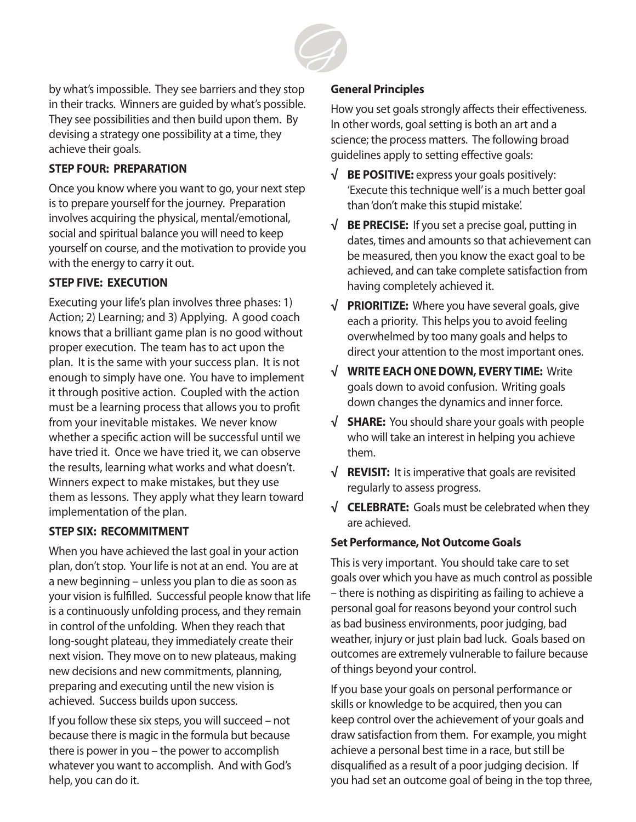

by what's impossible. They see barriers and they stop in their tracks. Winners are guided by what's possible. They see possibilities and then build upon them. By devising a strategy one possibility at a time, they achieve their goals.

#### **STEP FOUR: PREPARATION**

Once you know where you want to go, your next step is to prepare yourself for the journey. Preparation involves acquiring the physical, mental/emotional, social and spiritual balance you will need to keep yourself on course, and the motivation to provide you with the energy to carry it out.

#### **STEP FIVE: EXECUTION**

Executing your life's plan involves three phases: 1) Action; 2) Learning; and 3) Applying. A good coach knows that a brilliant game plan is no good without proper execution. The team has to act upon the plan. It is the same with your success plan. It is not enough to simply have one. You have to implement it through positive action. Coupled with the action must be a learning process that allows you to profit from your inevitable mistakes. We never know whether a specific action will be successful until we have tried it. Once we have tried it, we can observe the results, learning what works and what doesn't. Winners expect to make mistakes, but they use them as lessons. They apply what they learn toward implementation of the plan.

#### **STEP SIX: RECOMMITMENT**

When you have achieved the last goal in your action plan, don't stop. Your life is not at an end. You are at a new beginning – unless you plan to die as soon as your vision is fulfilled. Successful people know that life is a continuously unfolding process, and they remain in control of the unfolding. When they reach that long-sought plateau, they immediately create their next vision. They move on to new plateaus, making new decisions and new commitments, planning, preparing and executing until the new vision is achieved. Success builds upon success.

If you follow these six steps, you will succeed – not because there is magic in the formula but because there is power in you – the power to accomplish whatever you want to accomplish. And with God's help, you can do it.

#### **General Principles**

How you set goals strongly affects their effectiveness. In other words, goal setting is both an art and a science; the process matters. The following broad guidelines apply to setting effective goals:

- **√ BE POSITIVE:** express your goals positively: 'Execute this technique well' is a much better goal than 'don't make this stupid mistake'.
- **√ BE PRECISE:** If you set a precise goal, putting in dates, times and amounts so that achievement can be measured, then you know the exact goal to be achieved, and can take complete satisfaction from having completely achieved it.
- **√ PRIORITIZE:** Where you have several goals, give each a priority. This helps you to avoid feeling overwhelmed by too many goals and helps to direct your attention to the most important ones.
- **√ WRITE EACH ONE DOWN, EVERY TIME:** Write goals down to avoid confusion. Writing goals down changes the dynamics and inner force.
- **√ SHARE:** You should share your goals with people who will take an interest in helping you achieve them.
- **√ REVISIT:** It is imperative that goals are revisited regularly to assess progress.
- **√ CELEBRATE:** Goals must be celebrated when they are achieved.

#### **Set Performance, Not Outcome Goals**

This is very important. You should take care to set goals over which you have as much control as possible – there is nothing as dispiriting as failing to achieve a personal goal for reasons beyond your control such as bad business environments, poor judging, bad weather, injury or just plain bad luck. Goals based on outcomes are extremely vulnerable to failure because of things beyond your control.

If you base your goals on personal performance or skills or knowledge to be acquired, then you can keep control over the achievement of your goals and draw satisfaction from them. For example, you might achieve a personal best time in a race, but still be disqualified as a result of a poor judging decision. If you had set an outcome goal of being in the top three,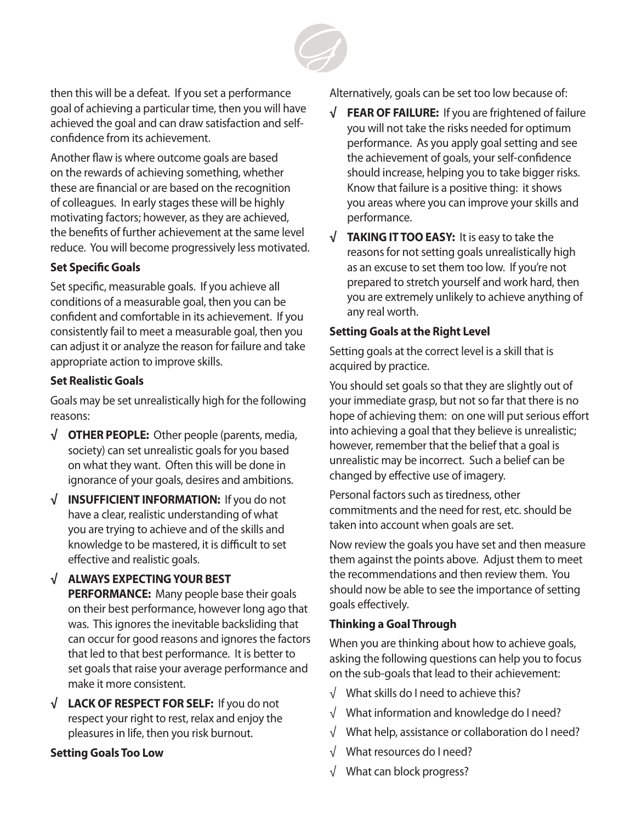

then this will be a defeat. If you set a performance goal of achieving a particular time, then you will have achieved the goal and can draw satisfaction and selfconfidence from its achievement.

Another flaw is where outcome goals are based on the rewards of achieving something, whether these are financial or are based on the recognition of colleagues. In early stages these will be highly motivating factors; however, as they are achieved, the benefits of further achievement at the same level reduce. You will become progressively less motivated.

#### **Set Specific Goals**

Set specific, measurable goals. If you achieve all conditions of a measurable goal, then you can be confident and comfortable in its achievement. If you consistently fail to meet a measurable goal, then you can adjust it or analyze the reason for failure and take appropriate action to improve skills.

#### **Set Realistic Goals**

Goals may be set unrealistically high for the following reasons:

- **√ OTHER PEOPLE:** Other people (parents, media, society) can set unrealistic goals for you based on what they want. Often this will be done in ignorance of your goals, desires and ambitions.
- **√ INSUFFICIENT INFORMATION:** If you do not have a clear, realistic understanding of what you are trying to achieve and of the skills and knowledge to be mastered, it is difficult to set effective and realistic goals.
- **√ ALWAYS EXPECTING YOUR BEST PERFORMANCE:** Many people base their goals on their best performance, however long ago that was. This ignores the inevitable backsliding that can occur for good reasons and ignores the factors that led to that best performance. It is better to set goals that raise your average performance and make it more consistent.
- **√ LACK OF RESPECT FOR SELF:** If you do not respect your right to rest, relax and enjoy the pleasures in life, then you risk burnout.

#### **Setting Goals Too Low**

Alternatively, goals can be set too low because of:

- **√ FEAR OF FAILURE:** If you are frightened of failure you will not take the risks needed for optimum performance. As you apply goal setting and see the achievement of goals, your self-confidence should increase, helping you to take bigger risks. Know that failure is a positive thing: it shows you areas where you can improve your skills and performance.
- **√ TAKING IT TOO EASY:** It is easy to take the reasons for not setting goals unrealistically high as an excuse to set them too low. If you're not prepared to stretch yourself and work hard, then you are extremely unlikely to achieve anything of any real worth.

#### **Setting Goals at the Right Level**

Setting goals at the correct level is a skill that is acquired by practice.

You should set goals so that they are slightly out of your immediate grasp, but not so far that there is no hope of achieving them: on one will put serious effort into achieving a goal that they believe is unrealistic; however, remember that the belief that a goal is unrealistic may be incorrect. Such a belief can be changed by effective use of imagery.

Personal factors such as tiredness, other commitments and the need for rest, etc. should be taken into account when goals are set.

Now review the goals you have set and then measure them against the points above. Adjust them to meet the recommendations and then review them. You should now be able to see the importance of setting goals effectively.

#### **Thinking a Goal Through**

When you are thinking about how to achieve goals, asking the following questions can help you to focus on the sub-goals that lead to their achievement:

- √ What skills do I need to achieve this?
- √ What information and knowledge do I need?
- √ What help, assistance or collaboration do I need?
- √ What resources do I need?
- √ What can block progress?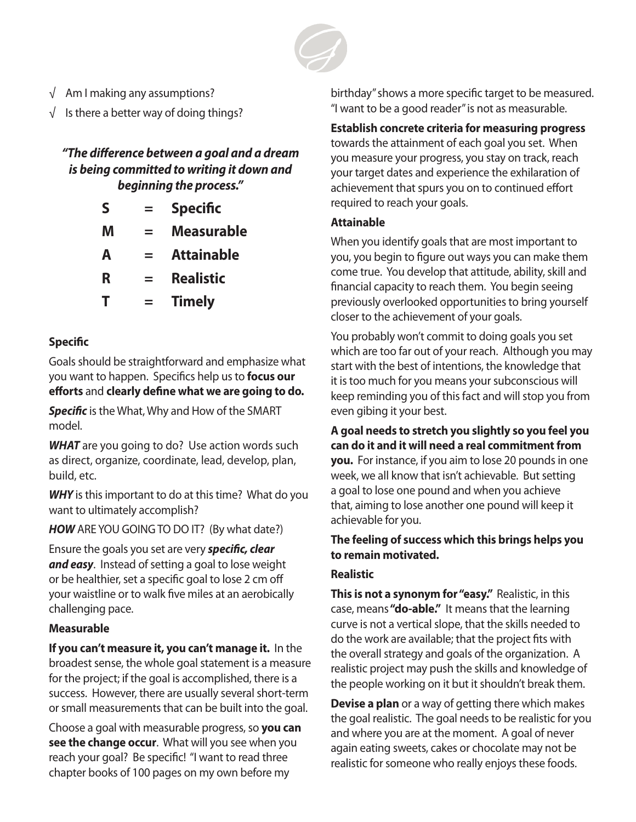

- √ Am I making any assumptions?
- $\sqrt{\phantom{a}}$  Is there a better way of doing things?

#### *"The difference between a goal and a dream is being committed to writing it down and beginning the process."*

- **S = Specific**
- **M = Measurable**
- **A = Attainable**
- **R = Realistic**
- **T = Timely**

#### **Specific**

Goals should be straightforward and emphasize what you want to happen. Specifics help us to **focus our efforts** and **clearly define what we are going to do.**

*Specific* is the What, Why and How of the SMART model.

**WHAT** are you going to do? Use action words such as direct, organize, coordinate, lead, develop, plan, build, etc.

**WHY** is this important to do at this time? What do you want to ultimately accomplish?

**HOW** ARE YOU GOING TO DO IT? (By what date?)

Ensure the goals you set are very *specific, clear and easy*. Instead of setting a goal to lose weight or be healthier, set a specific goal to lose 2 cm off your waistline or to walk five miles at an aerobically challenging pace.

#### **Measurable**

**If you can't measure it, you can't manage it.** In the broadest sense, the whole goal statement is a measure for the project; if the goal is accomplished, there is a success. However, there are usually several short-term or small measurements that can be built into the goal.

Choose a goal with measurable progress, so **you can see the change occur**. What will you see when you reach your goal? Be specific! "I want to read three chapter books of 100 pages on my own before my

birthday" shows a more specific target to be measured. "I want to be a good reader" is not as measurable.

#### **Establish concrete criteria for measuring progress**

towards the attainment of each goal you set. When you measure your progress, you stay on track, reach your target dates and experience the exhilaration of achievement that spurs you on to continued effort required to reach your goals.

#### **Attainable**

When you identify goals that are most important to you, you begin to figure out ways you can make them come true. You develop that attitude, ability, skill and financial capacity to reach them. You begin seeing previously overlooked opportunities to bring yourself closer to the achievement of your goals.

You probably won't commit to doing goals you set which are too far out of your reach. Although you may start with the best of intentions, the knowledge that it is too much for you means your subconscious will keep reminding you of this fact and will stop you from even gibing it your best.

**A goal needs to stretch you slightly so you feel you can do it and it will need a real commitment from you.** For instance, if you aim to lose 20 pounds in one week, we all know that isn't achievable. But setting a goal to lose one pound and when you achieve that, aiming to lose another one pound will keep it achievable for you.

#### **The feeling of success which this brings helps you to remain motivated.**

#### **Realistic**

**This is not a synonym for "easy."** Realistic, in this case, means **"do-able."** It means that the learning curve is not a vertical slope, that the skills needed to do the work are available; that the project fits with the overall strategy and goals of the organization. A realistic project may push the skills and knowledge of the people working on it but it shouldn't break them.

**Devise a plan** or a way of getting there which makes the goal realistic. The goal needs to be realistic for you and where you are at the moment. A goal of never again eating sweets, cakes or chocolate may not be realistic for someone who really enjoys these foods.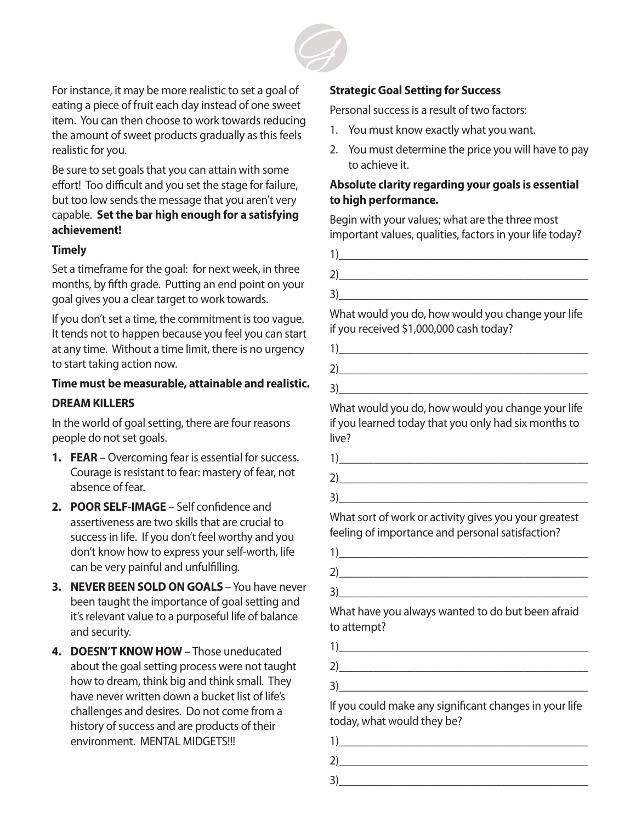

For instance, it may be more realistic to set a goal of eating a piece of fruit each day instead of one sweet item. You can then choose to work towards reducing the amount of sweet products gradually as this feels realistic for you.

Be sure to set goals that you can attain with some effort! Too difficult and you set the stage for failure, but too low sends the message that you aren't very capable. **Set the bar high enough for a satisfying achievement!**

#### **Timely**

Set a timeframe for the goal: for next week, in three months, by fifth grade. Putting an end point on your goal gives you a clear target to work towards.

If you don't set a time, the commitment is too vague. It tends not to happen because you feel you can start at any time. Without a time limit, there is no urgency to start taking action now.

#### **Time must be measurable, attainable and realistic. DREAM KILLERS**

In the world of goal setting, there are four reasons people do not set goals.

- **1. FEAR** Overcoming fear is essential for success. Courage is resistant to fear: mastery of fear, not absence of fear.
- **2. POOR SELF-IMAGE** Self confidence and assertiveness are two skills that are crucial to success in life. If you don't feel worthy and you don't know how to express your self-worth, life can be very painful and unfulfilling.
- **3. NEVER BEEN SOLD ON GOALS** You have never been taught the importance of goal setting and it's relevant value to a purposeful life of balance and security.
- **4. DOESN'T KNOW HOW** Those uneducated about the goal setting process were not taught how to dream, think big and think small. They have never written down a bucket list of life's challenges and desires. Do not come from a history of success and are products of their environment. MENTAL MIDGETS!!!

#### **Strategic Goal Setting for Success**

Personal success is a result of two factors:

- 1. You must know exactly what you want.
- 2. You must determine the price you will have to pay to achieve it.

#### **Absolute clarity regarding your goals is essential to high performance.**

Begin with your values; what are the three most important values, qualities, factors in your life today?

| ∍<br>. . |  |  |  |
|----------|--|--|--|

What would you do, how would you change your life if you received \$1,000,000 cash today?

| ٠ |  |  |
|---|--|--|

What would you do, how would you change your life if you learned today that you only had six months to live?

 $2)$ 

 $3)$ 

What sort of work or activity gives you your greatest feeling of importance and personal satisfaction?

 $3)$ 

What have you always wanted to do but been afraid to attempt?

| $\tilde{\phantom{a}}$ |  |  |
|-----------------------|--|--|

 $3)$ 

If you could make any significant changes in your life today, what would they be?

 $1)$ 

 $2)$ 

 $3)$   $\qquad \qquad$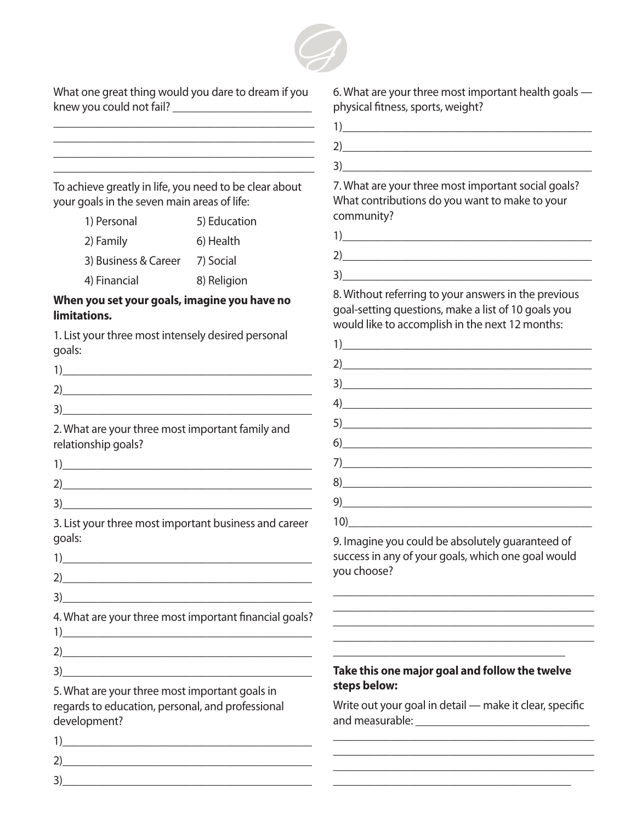

What one great thing would you dare to dream if you knew you could not fail? \_\_\_\_\_\_\_\_\_\_\_\_\_\_\_\_\_\_\_\_\_\_\_\_

\_\_\_\_\_\_\_\_\_\_\_\_\_\_\_\_\_\_\_\_\_\_\_\_\_\_\_\_\_\_\_\_\_\_\_\_\_\_\_\_\_\_\_\_\_ \_\_\_\_\_\_\_\_\_\_\_\_\_\_\_\_\_\_\_\_\_\_\_\_\_\_\_\_\_\_\_\_\_\_\_\_\_\_\_\_\_\_\_\_\_ 6. What are your three most important health goals physical fitness, sports, weight?

 $3)$ 

7. What are your three most important social goals? What contributions do you want to make to your community?

| $\overline{a}$        |  |  |  |
|-----------------------|--|--|--|
| $\tilde{\phantom{a}}$ |  |  |  |
| ∠                     |  |  |  |

 $3)$ 

8. Without referring to your answers in the previous goal-setting questions, make a list of 10 goals you would like to accomplish in the next 12 months:

| 1)                                                                                                                                                                                                                                                                                                                                                |  |
|---------------------------------------------------------------------------------------------------------------------------------------------------------------------------------------------------------------------------------------------------------------------------------------------------------------------------------------------------|--|
| 2)                                                                                                                                                                                                                                                                                                                                                |  |
| $\begin{picture}(20,20)(-3) \put(0,0){\line(1,0){10}} \put(15,0){\line(1,0){10}} \put(15,0){\line(1,0){10}} \put(15,0){\line(1,0){10}} \put(15,0){\line(1,0){10}} \put(15,0){\line(1,0){10}} \put(15,0){\line(1,0){10}} \put(15,0){\line(1,0){10}} \put(15,0){\line(1,0){10}} \put(15,0){\line(1,0){10}} \put(15,0){\line(1,0){10}} \put(15,0){\$ |  |
| 4)                                                                                                                                                                                                                                                                                                                                                |  |
| 5)                                                                                                                                                                                                                                                                                                                                                |  |
| 6)                                                                                                                                                                                                                                                                                                                                                |  |
| $7) \qquad \qquad \overbrace{\qquad \qquad }$                                                                                                                                                                                                                                                                                                     |  |
| 8)                                                                                                                                                                                                                                                                                                                                                |  |
| $\begin{picture}(20,20)(-0,0) \put(0,0){\line(1,0){10}} \put(15,0){\line(1,0){10}} \put(15,0){\line(1,0){10}} \put(15,0){\line(1,0){10}} \put(15,0){\line(1,0){10}} \put(15,0){\line(1,0){10}} \put(15,0){\line(1,0){10}} \put(15,0){\line(1,0){10}} \put(15,0){\line(1,0){10}} \put(15,0){\line(1,0){10}} \put(15,0){\line(1,0){10}} \put(15,0$  |  |
| $10) \qquad \qquad \overbrace{\qquad \qquad }$                                                                                                                                                                                                                                                                                                    |  |

9. Imagine you could be absolutely guaranteed of success in any of your goals, which one goal would you choose?

\_\_\_\_\_\_\_\_\_\_\_\_\_\_\_\_\_\_\_\_\_\_\_\_\_\_\_\_\_\_\_\_\_\_\_\_\_\_\_\_\_\_\_\_\_ \_\_\_\_\_\_\_\_\_\_\_\_\_\_\_\_\_\_\_\_\_\_\_\_\_\_\_\_\_\_\_\_\_\_\_\_\_\_\_\_\_\_\_\_\_ \_\_\_\_\_\_\_\_\_\_\_\_\_\_\_\_\_\_\_\_\_\_\_\_\_\_\_\_\_\_\_\_\_\_\_\_\_\_\_\_\_\_\_\_\_ \_\_\_\_\_\_\_\_\_\_\_\_\_\_\_\_\_\_\_\_\_\_\_\_\_\_\_\_\_\_\_\_\_\_\_\_\_\_\_\_\_\_\_\_\_

#### **Take this one major goal and follow the twelve steps below:**

\_\_\_\_\_\_\_\_\_\_\_\_\_\_\_\_\_\_\_\_\_\_\_\_\_\_\_\_\_\_\_\_\_\_\_\_\_\_\_\_

Write out your goal in detail — make it clear, specific and measurable:  $\blacksquare$ 

\_\_\_\_\_\_\_\_\_\_\_\_\_\_\_\_\_\_\_\_\_\_\_\_\_\_\_\_\_\_\_\_\_\_\_\_\_\_\_\_\_\_\_\_\_ \_\_\_\_\_\_\_\_\_\_\_\_\_\_\_\_\_\_\_\_\_\_\_\_\_\_\_\_\_\_\_\_\_\_\_\_\_\_\_\_\_\_\_\_\_ \_\_\_\_\_\_\_\_\_\_\_\_\_\_\_\_\_\_\_\_\_\_\_\_\_\_\_\_\_\_\_\_\_\_\_\_\_\_\_\_\_\_\_\_\_ \_\_\_\_\_\_\_\_\_\_\_\_\_\_\_\_\_\_\_\_\_\_\_\_\_\_\_\_\_\_\_\_\_\_\_\_\_\_\_\_\_

To achieve greatly in life, you need to be clear about your goals in the seven main areas of life:

\_\_\_\_\_\_\_\_\_\_\_\_\_\_\_\_\_\_\_\_\_\_\_\_\_\_\_\_\_\_\_\_\_\_\_\_\_\_\_\_\_\_\_\_\_

| 1) Personal          | 5) Education |
|----------------------|--------------|
| 2) Family            | 6) Health    |
| 3) Business & Career | 7) Social    |
| 4) Financial         | 8) Religion  |

#### **When you set your goals, imagine you have no limitations.**

1. List your three most intensely desired personal goals:

| 1)                                                                      |
|-------------------------------------------------------------------------|
| 2)                                                                      |
| 3)                                                                      |
| 2. What are your three most important family and<br>relationship goals? |
| $\left( \begin{array}{ccc} 1 \end{array} \right)$                       |
| 2)                                                                      |
| 3)                                                                      |
| 2 list vour three most important business and sareer                    |

3. List your three most important business and career goals:

| 2 |  |  |
|---|--|--|
|   |  |  |

4. What are your three most important financial goals?  $1)$ 

 $2)$   $\overline{\phantom{a}}$  $3)$ 

5. What are your three most important goals in regards to education, personal, and professional development?

 $2)$ 

3)\_\_\_\_\_\_\_\_\_\_\_\_\_\_\_\_\_\_\_\_\_\_\_\_\_\_\_\_\_\_\_\_\_\_\_\_\_\_\_\_\_\_\_

 $1)$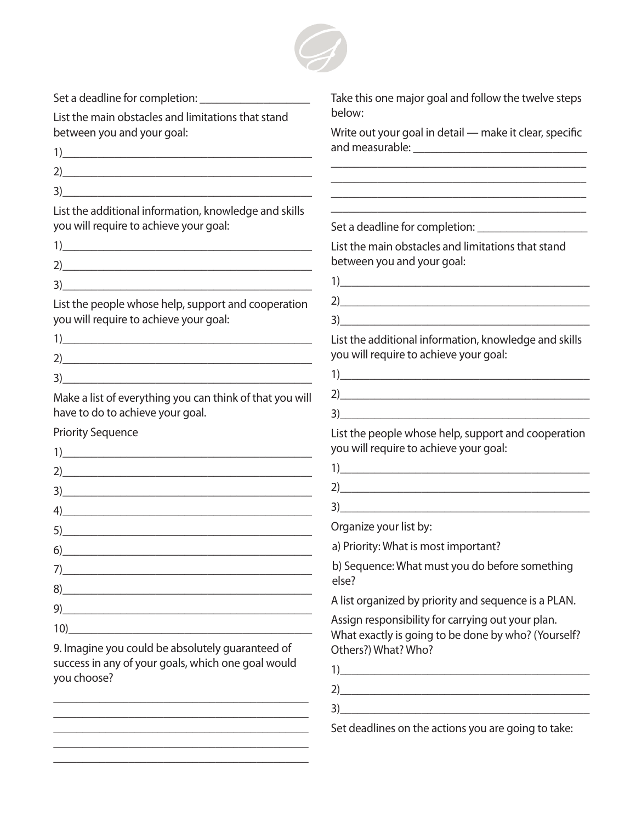

Set a deadline for completion:

List the main obstacles and limitations that stand between you and your goal:

| 1 |  |  |  |
|---|--|--|--|
| 2 |  |  |  |
| 3 |  |  |  |
|   |  |  |  |

List the additional information, knowledge and skills you will require to achieve your goal:

 $3)$ 

List the people whose help, support and cooperation you will require to achieve your goal:

| っ<br>÷ |  |  |
|--------|--|--|

Make a list of everything you can think of that you will have to do to achieve your goal.

Priority Sequence

| $\begin{picture}(20,10) \put(0,0){\line(1,0){10}} \put(15,0){\line(1,0){10}} \put(15,0){\line(1,0){10}} \put(15,0){\line(1,0){10}} \put(15,0){\line(1,0){10}} \put(15,0){\line(1,0){10}} \put(15,0){\line(1,0){10}} \put(15,0){\line(1,0){10}} \put(15,0){\line(1,0){10}} \put(15,0){\line(1,0){10}} \put(15,0){\line(1,0){10}} \put(15,0){\line(1$                 |  |
|---------------------------------------------------------------------------------------------------------------------------------------------------------------------------------------------------------------------------------------------------------------------------------------------------------------------------------------------------------------------|--|
| 2)                                                                                                                                                                                                                                                                                                                                                                  |  |
|                                                                                                                                                                                                                                                                                                                                                                     |  |
| $\left( \frac{1}{2} \right)$                                                                                                                                                                                                                                                                                                                                        |  |
| 5)                                                                                                                                                                                                                                                                                                                                                                  |  |
| $\begin{picture}(20,10) \put(0,0){\vector(1,0){100}} \put(15,0){\vector(1,0){100}} \put(15,0){\vector(1,0){100}} \put(15,0){\vector(1,0){100}} \put(15,0){\vector(1,0){100}} \put(15,0){\vector(1,0){100}} \put(15,0){\vector(1,0){100}} \put(15,0){\vector(1,0){100}} \put(15,0){\vector(1,0){100}} \put(15,0){\vector(1,0){100}} \put(15,0){\vector(1,0){100}} \$ |  |
| $7) \qquad \qquad \overbrace{\qquad \qquad }$                                                                                                                                                                                                                                                                                                                       |  |
| 8)                                                                                                                                                                                                                                                                                                                                                                  |  |
| 9)                                                                                                                                                                                                                                                                                                                                                                  |  |
| 10)                                                                                                                                                                                                                                                                                                                                                                 |  |
|                                                                                                                                                                                                                                                                                                                                                                     |  |

9. Imagine you could be absolutely guaranteed of success in any of your goals, which one goal would you choose?

\_\_\_\_\_\_\_\_\_\_\_\_\_\_\_\_\_\_\_\_\_\_\_\_\_\_\_\_\_\_\_\_\_\_\_\_\_\_\_\_\_\_\_\_ \_\_\_\_\_\_\_\_\_\_\_\_\_\_\_\_\_\_\_\_\_\_\_\_\_\_\_\_\_\_\_\_\_\_\_\_\_\_\_\_\_\_\_\_ \_\_\_\_\_\_\_\_\_\_\_\_\_\_\_\_\_\_\_\_\_\_\_\_\_\_\_\_\_\_\_\_\_\_\_\_\_\_\_\_\_\_\_\_ \_\_\_\_\_\_\_\_\_\_\_\_\_\_\_\_\_\_\_\_\_\_\_\_\_\_\_\_\_\_\_\_\_\_\_\_\_\_\_\_\_\_\_\_ \_\_\_\_\_\_\_\_\_\_\_\_\_\_\_\_\_\_\_\_\_\_\_\_\_\_\_\_\_\_\_\_\_\_\_\_\_\_\_\_\_\_\_\_ Take this one major goal and follow the twelve steps below:

Write out your goal in detail — make it clear, specific and measurable: \_\_\_\_\_\_\_\_\_\_\_\_\_\_\_\_\_\_\_\_\_\_\_\_\_\_\_\_\_\_

\_\_\_\_\_\_\_\_\_\_\_\_\_\_\_\_\_\_\_\_\_\_\_\_\_\_\_\_\_\_\_\_\_\_\_\_\_\_\_\_\_\_\_\_ \_\_\_\_\_\_\_\_\_\_\_\_\_\_\_\_\_\_\_\_\_\_\_\_\_\_\_\_\_\_\_\_\_\_\_\_\_\_\_\_\_\_\_\_

\_\_\_\_\_\_\_\_\_\_\_\_\_\_\_\_\_\_\_\_\_\_\_\_\_\_\_\_\_\_\_\_\_\_\_\_\_\_\_\_\_\_\_\_

Set a deadline for completion: \_\_\_\_\_\_\_\_\_\_\_\_\_\_\_\_\_\_\_

List the main obstacles and limitations that stand between you and your goal:

 $1)$  $2)$ 

List the additional information, knowledge and skills you will require to achieve your goal:

 $3)$ 

- 1)\_\_\_\_\_\_\_\_\_\_\_\_\_\_\_\_\_\_\_\_\_\_\_\_\_\_\_\_\_\_\_\_\_\_\_\_\_\_\_\_\_\_\_  $2)$
- $\bullet$  3)

List the people whose help, support and cooperation you will require to achieve your goal:

- 1)  $\frac{1}{\sqrt{2\pi}}$
- $2)$

 $3) \fbox{---}$ 

Organize your list by:

a) Priority: What is most important?

b) Sequence: What must you do before something else?

A list organized by priority and sequence is a PLAN.

Assign responsibility for carrying out your plan. What exactly is going to be done by who? (Yourself? Others?) What? Who?

 $1)$  $2)$ 

 $3)$ 

Set deadlines on the actions you are going to take: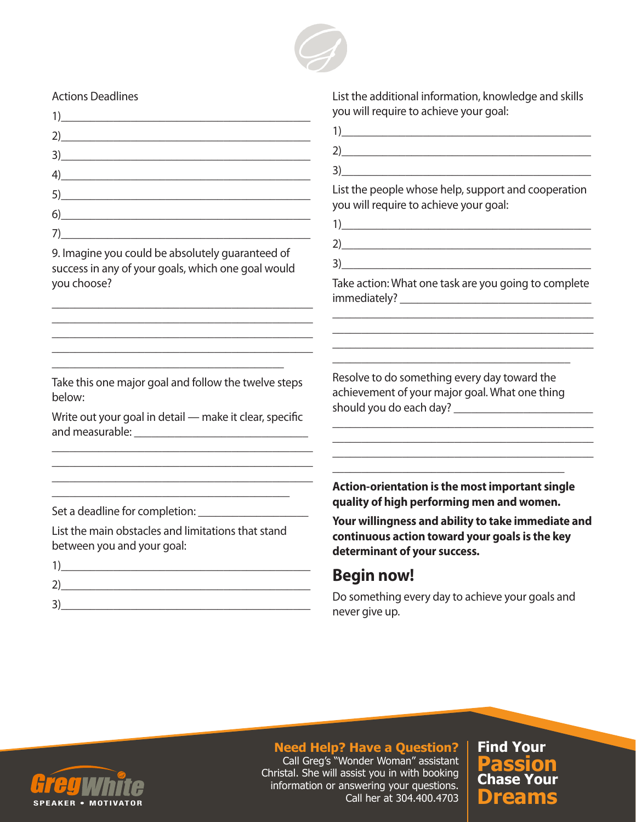

#### Actions Deadlines

| $2)$ and $2$ and $2$ and $2$ and $2$ and $2$ and $2$ and $2$ and $2$ and $2$ and $2$ and $2$ and $2$ and $2$ and $2$ and $2$ and $2$ and $2$ and $2$ and $2$ and $2$ and $2$ and $2$ and $2$ and $2$ and $2$ and $2$ and $2$                                                                                                                                                 |  |
|------------------------------------------------------------------------------------------------------------------------------------------------------------------------------------------------------------------------------------------------------------------------------------------------------------------------------------------------------------------------------|--|
| $3)$ and $\overline{\phantom{a}3)$ and $\overline{\phantom{a}3)$ and $\overline{\phantom{a}3)$ and $\overline{\phantom{a}3)$ and $\overline{\phantom{a}3)$ and $\overline{\phantom{a}3)$ and $\overline{\phantom{a}3)$ and $\overline{\phantom{a}3)$ and $\overline{\phantom{a}3)$ and $\overline{\phantom{a}3)$ and $\overline{\phantom{a}3)$ and $\overline{\phantom{a}3)$ |  |
| $\left( \begin{array}{c} 4 \end{array} \right)$                                                                                                                                                                                                                                                                                                                              |  |
| 5)                                                                                                                                                                                                                                                                                                                                                                           |  |
| $\begin{picture}(20,10) \put(0,0){\vector(1,0){100}} \put(15,0){\vector(1,0){100}} \put(15,0){\vector(1,0){100}} \put(15,0){\vector(1,0){100}} \put(15,0){\vector(1,0){100}} \put(15,0){\vector(1,0){100}} \put(15,0){\vector(1,0){100}} \put(15,0){\vector(1,0){100}} \put(15,0){\vector(1,0){100}} \put(15,0){\vector(1,0){100}} \put(15,0){\vector(1,0){100}} \$          |  |
| 7)                                                                                                                                                                                                                                                                                                                                                                           |  |

9. Imagine you could be absolutely guaranteed of success in any of your goals, which one goal would you choose?

\_\_\_\_\_\_\_\_\_\_\_\_\_\_\_\_\_\_\_\_\_\_\_\_\_\_\_\_\_\_\_\_\_\_\_\_\_\_\_\_\_\_\_\_\_ \_\_\_\_\_\_\_\_\_\_\_\_\_\_\_\_\_\_\_\_\_\_\_\_\_\_\_\_\_\_\_\_\_\_\_\_\_\_\_\_\_\_\_\_\_ \_\_\_\_\_\_\_\_\_\_\_\_\_\_\_\_\_\_\_\_\_\_\_\_\_\_\_\_\_\_\_\_\_\_\_\_\_\_\_\_\_\_\_\_\_ \_\_\_\_\_\_\_\_\_\_\_\_\_\_\_\_\_\_\_\_\_\_\_\_\_\_\_\_\_\_\_\_\_\_\_\_\_\_\_\_\_\_\_\_\_

Take this one major goal and follow the twelve steps below:

\_\_\_\_\_\_\_\_\_\_\_\_\_\_\_\_\_\_\_\_\_\_\_\_\_\_\_\_\_\_\_\_\_\_\_\_\_\_\_\_

Write out your goal in detail — make it clear, specific and measurable: \_\_\_\_\_\_\_\_\_\_\_\_\_\_\_\_\_\_\_\_\_\_\_\_\_\_\_\_\_\_

\_\_\_\_\_\_\_\_\_\_\_\_\_\_\_\_\_\_\_\_\_\_\_\_\_\_\_\_\_\_\_\_\_\_\_\_\_\_\_\_\_\_\_\_\_ \_\_\_\_\_\_\_\_\_\_\_\_\_\_\_\_\_\_\_\_\_\_\_\_\_\_\_\_\_\_\_\_\_\_\_\_\_\_\_\_\_\_\_\_\_ \_\_\_\_\_\_\_\_\_\_\_\_\_\_\_\_\_\_\_\_\_\_\_\_\_\_\_\_\_\_\_\_\_\_\_\_\_\_\_\_\_

Set a deadline for completion:

List the main obstacles and limitations that stand between you and your goal:

| ำ |  |  |
|---|--|--|
| ∍ |  |  |

List the additional information, knowledge and skills you will require to achieve your goal:

- 1)\_\_\_\_\_\_\_\_\_\_\_\_\_\_\_\_\_\_\_\_\_\_\_\_\_\_\_\_\_\_\_\_\_\_\_\_\_\_\_\_\_\_\_  $2)$
- $3)$

List the people whose help, support and cooperation you will require to achieve your goal:

- 1)\_\_\_\_\_\_\_\_\_\_\_\_\_\_\_\_\_\_\_\_\_\_\_\_\_\_\_\_\_\_\_\_\_\_\_\_\_\_\_\_\_\_\_
- 2)\_\_\_\_\_\_\_\_\_\_\_\_\_\_\_\_\_\_\_\_\_\_\_\_\_\_\_\_\_\_\_\_\_\_\_\_\_\_\_\_\_\_\_
- $3)$

Take action: What one task are you going to complete immediately?

\_\_\_\_\_\_\_\_\_\_\_\_\_\_\_\_\_\_\_\_\_\_\_\_\_\_\_\_\_\_\_\_\_\_\_\_\_\_\_\_\_\_\_\_\_

\_\_\_\_\_\_\_\_\_\_\_\_\_\_\_\_\_\_\_\_\_\_\_\_\_\_\_\_\_\_\_\_\_\_\_\_\_\_\_\_\_\_\_\_\_ \_\_\_\_\_\_\_\_\_\_\_\_\_\_\_\_\_\_\_\_\_\_\_\_\_\_\_\_\_\_\_\_\_\_\_\_\_\_\_\_\_

\_\_\_\_\_\_\_\_\_\_\_\_\_\_\_\_\_\_\_\_\_\_\_\_\_\_\_\_\_\_\_\_\_\_\_\_\_\_\_\_\_\_\_\_\_

\_\_\_\_\_\_\_\_\_\_\_\_\_\_\_\_\_\_\_\_\_\_\_\_\_\_\_\_\_\_\_\_\_\_\_\_\_\_\_\_\_\_\_\_\_

\_\_\_\_\_\_\_\_\_\_\_\_\_\_\_\_\_\_\_\_\_\_\_\_\_\_\_\_\_\_\_\_\_\_\_\_\_\_\_\_\_\_\_\_\_

Resolve to do something every day toward the achievement of your major goal. What one thing should you do each day? \_\_\_\_\_\_\_\_\_\_\_\_\_\_\_\_\_\_\_\_\_\_\_\_

**Action-orientation is the most important single quality of high performing men and women.** 

\_\_\_\_\_\_\_\_\_\_\_\_\_\_\_\_\_\_\_\_\_\_\_\_\_\_\_\_\_\_\_\_\_\_\_\_\_\_\_\_

**Your willingness and ability to take immediate and continuous action toward your goals is the key determinant of your success.** 

#### **Begin now!**

Do something every day to achieve your goals and never give up.



#### **Need Help? Have a Question?**

Call Greg's "Wonder Woman" assistant Christal. She will assist you in with booking information or answering your questions. Call her at 304.400.4703 **Dreams**

**Chase Your Passion Find Your**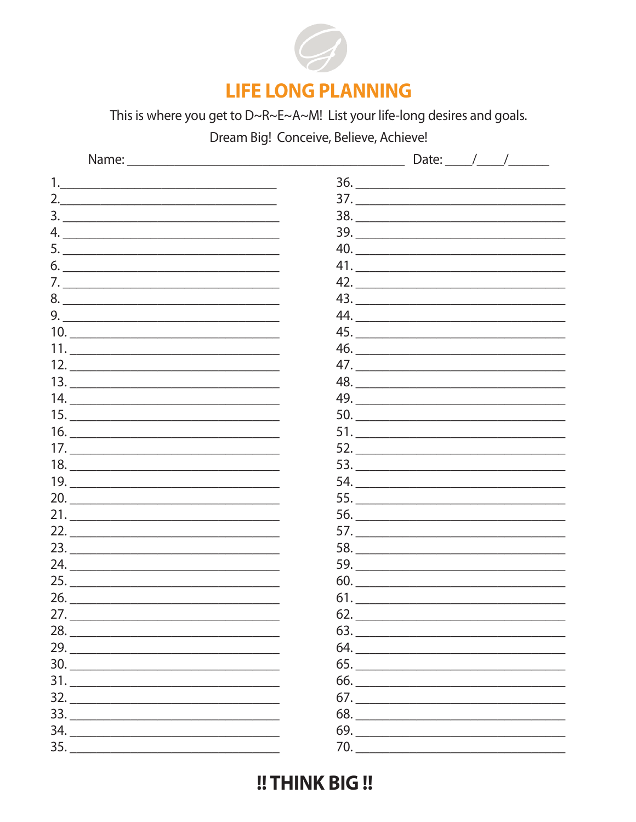

### **LIFE LONG PLANNING**

This is where you get to D~R~E~A~M! List your life-long desires and goals.

Dream Big! Conceive, Believe, Achieve!

| 2. $\overline{\phantom{a}1}$                                                      |                                |
|-----------------------------------------------------------------------------------|--------------------------------|
|                                                                                   | 38.                            |
|                                                                                   |                                |
|                                                                                   |                                |
|                                                                                   |                                |
|                                                                                   | 42.                            |
| $8. \underline{\hspace{2cm}}$                                                     | 43.                            |
|                                                                                   |                                |
|                                                                                   | 45.                            |
|                                                                                   |                                |
|                                                                                   |                                |
|                                                                                   | 48.                            |
|                                                                                   |                                |
|                                                                                   |                                |
|                                                                                   |                                |
|                                                                                   |                                |
| 18.                                                                               |                                |
|                                                                                   |                                |
| 20.                                                                               |                                |
|                                                                                   |                                |
| 22.                                                                               |                                |
| 23.                                                                               |                                |
|                                                                                   |                                |
|                                                                                   | $60. \underline{\hspace{2cm}}$ |
| 26.                                                                               |                                |
| 27.                                                                               | 62.                            |
| 28.                                                                               |                                |
|                                                                                   |                                |
| $30. \underline{\hspace{2cm}}$                                                    |                                |
|                                                                                   |                                |
| $\begin{array}{c}\n 32. \ \ \textcolor{red}{\overline{\text{222}}}\n \end{array}$ | $67. \underline{\hspace{2cm}}$ |
|                                                                                   |                                |
| 34.                                                                               |                                |
| 35.                                                                               |                                |

!! THINK BIG !!